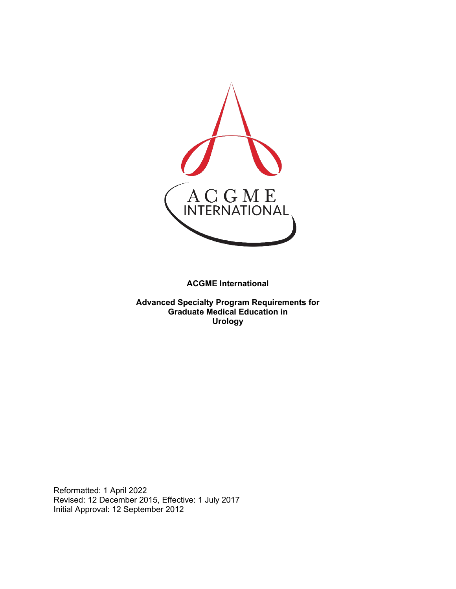

**ACGME International** 

**Advanced Specialty Program Requirements for Graduate Medical Education in Urology**

Reformatted: 1 April 2022 Revised: 12 December 2015, Effective: 1 July 2017 Initial Approval: 12 September 2012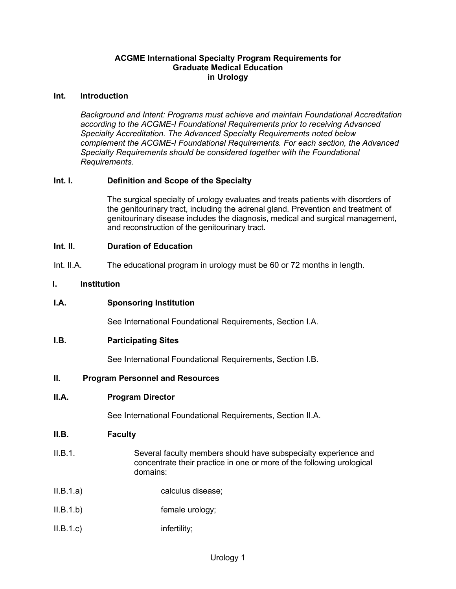### **ACGME International Specialty Program Requirements for Graduate Medical Education in Urology**

### **Int. Introduction**

*Background and Intent: Programs must achieve and maintain Foundational Accreditation according to the ACGME-I Foundational Requirements prior to receiving Advanced Specialty Accreditation. The Advanced Specialty Requirements noted below complement the ACGME-I Foundational Requirements. For each section, the Advanced Specialty Requirements should be considered together with the Foundational Requirements.*

## **Int. I. Definition and Scope of the Specialty**

The surgical specialty of urology evaluates and treats patients with disorders of the genitourinary tract, including the adrenal gland. Prevention and treatment of genitourinary disease includes the diagnosis, medical and surgical management, and reconstruction of the genitourinary tract.

### **Int. II. Duration of Education**

Int. II.A. The educational program in urology must be 60 or 72 months in length.

### **I. Institution**

**I.A. Sponsoring Institution**

See International Foundational Requirements, Section I.A.

#### **I.B. Participating Sites**

See International Foundational Requirements, Section I.B.

#### **II. Program Personnel and Resources**

#### **II.A. Program Director**

See International Foundational Requirements, Section II.A.

#### **II.B. Faculty**

- II.B.1. Several faculty members should have subspecialty experience and concentrate their practice in one or more of the following urological domains:
- II.B.1.a) calculus disease;
- II.B.1.b) female urology;
- II.B.1.c) infertility;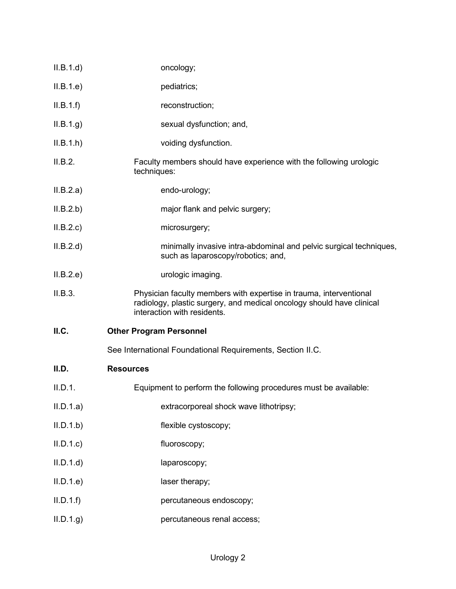| II.B.1.d  | oncology;                                                                                                                                                                  |
|-----------|----------------------------------------------------------------------------------------------------------------------------------------------------------------------------|
| II.B.1.e) | pediatrics;                                                                                                                                                                |
| II.B.1.f) | reconstruction;                                                                                                                                                            |
| II.B.1.g. | sexual dysfunction; and,                                                                                                                                                   |
| II.B.1.h  | voiding dysfunction.                                                                                                                                                       |
| II.B.2.   | Faculty members should have experience with the following urologic<br>techniques:                                                                                          |
| II.B.2.a) | endo-urology;                                                                                                                                                              |
| II.B.2.b) | major flank and pelvic surgery;                                                                                                                                            |
| II.B.2.c  | microsurgery;                                                                                                                                                              |
| II.B.2.d  | minimally invasive intra-abdominal and pelvic surgical techniques,<br>such as laparoscopy/robotics; and,                                                                   |
| II.B.2.e  | urologic imaging.                                                                                                                                                          |
| II.B.3.   | Physician faculty members with expertise in trauma, interventional<br>radiology, plastic surgery, and medical oncology should have clinical<br>interaction with residents. |
| ILC.      | <b>Other Program Personnel</b>                                                                                                                                             |
|           | See International Foundational Requirements, Section II.C.                                                                                                                 |
| II.D.     | <b>Resources</b>                                                                                                                                                           |
| II.D.1.   | Equipment to perform the following procedures must be available:                                                                                                           |
| II.D.1.a) | extracorporeal shock wave lithotripsy;                                                                                                                                     |
| II.D.1.b  | flexible cystoscopy;                                                                                                                                                       |
| II.D.1.c  | fluoroscopy;                                                                                                                                                               |
| II.D.1.d  | laparoscopy;                                                                                                                                                               |
| II.D.1.e  | laser therapy;                                                                                                                                                             |
| II.D.1.f  | percutaneous endoscopy;                                                                                                                                                    |
| ILD.1.g)  |                                                                                                                                                                            |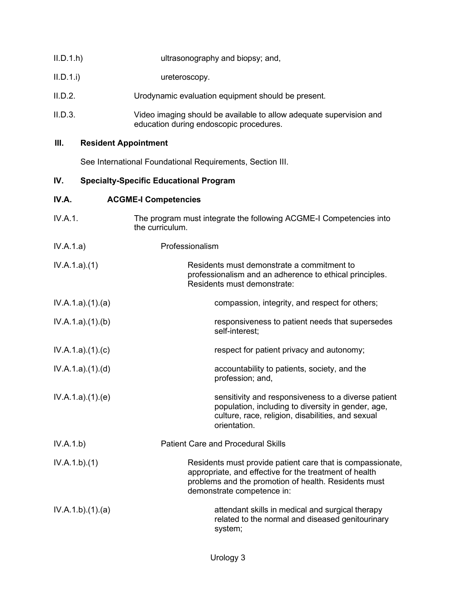| II.D.1.h | ultrasonography and biopsy; and,                                                                               |
|----------|----------------------------------------------------------------------------------------------------------------|
| II.D.1.i | ureteroscopy.                                                                                                  |
| II.D.2.  | Urodynamic evaluation equipment should be present.                                                             |
| II.D.3.  | Video imaging should be available to allow adequate supervision and<br>education during endoscopic procedures. |

## **III. Resident Appointment**

See International Foundational Requirements, Section III.

# **IV. Specialty-Specific Educational Program**

## **IV.A. ACGME-I Competencies**

| IV.A.1.         | The program must integrate the following ACGME-I Competencies into<br>the curriculum.                                                                                                                      |
|-----------------|------------------------------------------------------------------------------------------------------------------------------------------------------------------------------------------------------------|
| IV.A.1.a)       | Professionalism                                                                                                                                                                                            |
| IV.A.1.a)(1)    | Residents must demonstrate a commitment to<br>professionalism and an adherence to ethical principles.<br>Residents must demonstrate:                                                                       |
| IV.A.1.a)(1)(a) | compassion, integrity, and respect for others;                                                                                                                                                             |
| IV.A.1.a)(1)(b) | responsiveness to patient needs that supersedes<br>self-interest;                                                                                                                                          |
| IV.A.1.a)(1)(c) | respect for patient privacy and autonomy;                                                                                                                                                                  |
| IV.A.1.a)(1)(d) | accountability to patients, society, and the<br>profession; and,                                                                                                                                           |
| IV.A.1.a)(1)(e) | sensitivity and responsiveness to a diverse patient<br>population, including to diversity in gender, age,<br>culture, race, religion, disabilities, and sexual<br>orientation.                             |
| IV.A.1.b)       | <b>Patient Care and Procedural Skills</b>                                                                                                                                                                  |
| IV.A.1.b)(1)    | Residents must provide patient care that is compassionate,<br>appropriate, and effective for the treatment of health<br>problems and the promotion of health. Residents must<br>demonstrate competence in: |
| IV.A.1.b)(1)(a) | attendant skills in medical and surgical therapy<br>related to the normal and diseased genitourinary<br>system;                                                                                            |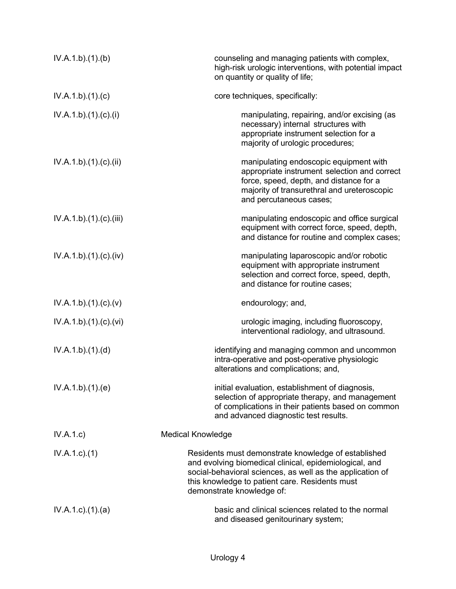| IV.A.1.b)(1)(b)      | counseling and managing patients with complex,<br>high-risk urologic interventions, with potential impact<br>on quantity or quality of life;                                                                                                              |
|----------------------|-----------------------------------------------------------------------------------------------------------------------------------------------------------------------------------------------------------------------------------------------------------|
| IV.A.1.b)(1)(c)      | core techniques, specifically:                                                                                                                                                                                                                            |
| IV.A.1.b)(1)(c)(i)   | manipulating, repairing, and/or excising (as<br>necessary) internal structures with<br>appropriate instrument selection for a<br>majority of urologic procedures;                                                                                         |
| IV.A.1.b)(1)(c)(ii)  | manipulating endoscopic equipment with<br>appropriate instrument selection and correct<br>force, speed, depth, and distance for a<br>majority of transurethral and ureteroscopic<br>and percutaneous cases;                                               |
| IV.A.1.b)(1)(c)(iii) | manipulating endoscopic and office surgical<br>equipment with correct force, speed, depth,<br>and distance for routine and complex cases;                                                                                                                 |
| IV.A.1.b)(1)(c)(iv)  | manipulating laparoscopic and/or robotic<br>equipment with appropriate instrument<br>selection and correct force, speed, depth,<br>and distance for routine cases;                                                                                        |
| IV.A.1.b)(1)(c)(v)   | endourology; and,                                                                                                                                                                                                                                         |
| IV.A.1.b)(1)(c)(vi)  | urologic imaging, including fluoroscopy,<br>interventional radiology, and ultrasound.                                                                                                                                                                     |
| IV.A.1.b)(1)(d)      | identifying and managing common and uncommon<br>intra-operative and post-operative physiologic<br>alterations and complications; and,                                                                                                                     |
| IV.A.1.b)(1)(e)      | initial evaluation, establishment of diagnosis,<br>selection of appropriate therapy, and management<br>of complications in their patients based on common<br>and advanced diagnostic test results.                                                        |
| IV.A.1.c)            | <b>Medical Knowledge</b>                                                                                                                                                                                                                                  |
| $IV.A.1.c.$ (1)      | Residents must demonstrate knowledge of established<br>and evolving biomedical clinical, epidemiological, and<br>social-behavioral sciences, as well as the application of<br>this knowledge to patient care. Residents must<br>demonstrate knowledge of: |
| IV.A.1.c.1(1).(a)    | basic and clinical sciences related to the normal<br>and diseased genitourinary system;                                                                                                                                                                   |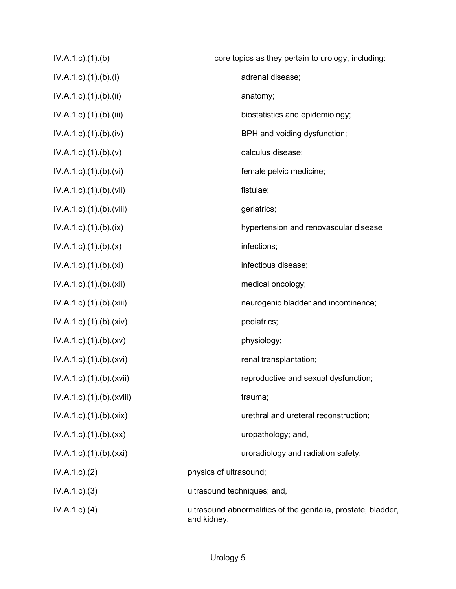| $IV.A.1.c$ . $(1).$ (b)                | core topics as they pertain to urology, including:                           |
|----------------------------------------|------------------------------------------------------------------------------|
| $IV.A.1.c$ ). $(1)$ . $(b)$ . $(i)$    | adrenal disease;                                                             |
| $IV.A.1.c$ ). $(1)$ . $(b)$ . $(ii)$   | anatomy;                                                                     |
| $IV.A.1.c$ . $(1).$ (b). $(iii)$       | biostatistics and epidemiology;                                              |
| $IV.A.1.c$ . $(1).$ (b). $(iv)$        | BPH and voiding dysfunction;                                                 |
| $IV.A.1.c$ . $(1).(b).(v)$             | calculus disease;                                                            |
| $IV.A.1.c$ . $(1).$ (b). $(vi)$        | female pelvic medicine;                                                      |
| IV.A.1.c).(1).(b).(vii)                | fistulae;                                                                    |
| IV.A.1.c).(1).(b).(viii)               | geriatrics;                                                                  |
| $IV.A.1.c$ . $(1).$ (b). $(ix)$        | hypertension and renovascular disease                                        |
| $IV.A.1.c$ . $(1).(b).(x)$             | infections;                                                                  |
| $IV.A.1.c$ . $(1).$ $(b).$ $(xi)$      | infectious disease;                                                          |
| $IV.A.1.c$ ). $(1).$ (b). $(xii)$      | medical oncology;                                                            |
| IV.A.1.c).(1).(b).(xiii)               | neurogenic bladder and incontinence;                                         |
| IV.A.1.c) (1) (b) (xiv)                | pediatrics;                                                                  |
| $IV.A.1.c$ . $(1).(b).(xv)$            | physiology;                                                                  |
| IV.A.1.c).(1).(b).(xvi)                | renal transplantation;                                                       |
| $IV.A.1.c$ . $(1)$ . $(b)$ . $(xvii)$  | reproductive and sexual dysfunction;                                         |
| $IV.A.1.c$ . $(1)$ . $(b)$ . $(xviii)$ | trauma;                                                                      |
| IV.A.1.c) (1) (b) (xix)                | urethral and ureteral reconstruction;                                        |
| $IV.A.1.c$ . $(1).(b).(xx)$            | uropathology; and,                                                           |
| IV.A.1.c).(1).(b).(xxi)                | uroradiology and radiation safety.                                           |
| IV.A.1.c.2)                            | physics of ultrasound;                                                       |
| IV.A.1.c.3)                            | ultrasound techniques; and,                                                  |
| $IV.A.1.c.$ (4)                        | ultrasound abnormalities of the genitalia, prostate, bladder,<br>and kidney. |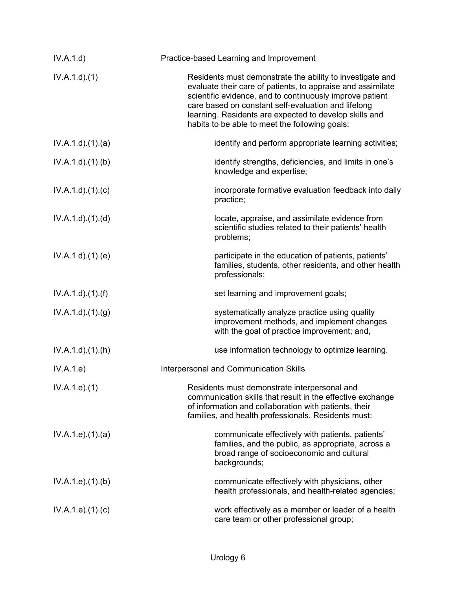| IV.A.1.d)              | Practice-based Learning and Improvement                                                                                                                                                                                                                                                                                                                 |
|------------------------|---------------------------------------------------------------------------------------------------------------------------------------------------------------------------------------------------------------------------------------------------------------------------------------------------------------------------------------------------------|
| $IV.A.1.d$ . $(1)$     | Residents must demonstrate the ability to investigate and<br>evaluate their care of patients, to appraise and assimilate<br>scientific evidence, and to continuously improve patient<br>care based on constant self-evaluation and lifelong<br>learning. Residents are expected to develop skills and<br>habits to be able to meet the following goals: |
| IV.A.1.d.(1).(a)       | identify and perform appropriate learning activities;                                                                                                                                                                                                                                                                                                   |
| IV.A.1.d)(1)(b)        | identify strengths, deficiencies, and limits in one's<br>knowledge and expertise;                                                                                                                                                                                                                                                                       |
| IV.A.1.d)(1)(c)        | incorporate formative evaluation feedback into daily<br>practice;                                                                                                                                                                                                                                                                                       |
| IV.A.1.d)(1)(d)        | locate, appraise, and assimilate evidence from<br>scientific studies related to their patients' health<br>problems;                                                                                                                                                                                                                                     |
| IV.A.1.d.(1)(e)        | participate in the education of patients, patients'<br>families, students, other residents, and other health<br>professionals;                                                                                                                                                                                                                          |
| $IV.A.1.d$ . $(1).(f)$ | set learning and improvement goals;                                                                                                                                                                                                                                                                                                                     |
| IV.A.1.d)(1)(g)        | systematically analyze practice using quality<br>improvement methods, and implement changes<br>with the goal of practice improvement; and,                                                                                                                                                                                                              |
| IV.A.1.d)(1)(h)        | use information technology to optimize learning.                                                                                                                                                                                                                                                                                                        |
| IV.A.1.e)              | Interpersonal and Communication Skills                                                                                                                                                                                                                                                                                                                  |
| IV.A.1.e. (1)          | Residents must demonstrate interpersonal and<br>communication skills that result in the effective exchange<br>of information and collaboration with patients, their<br>families, and health professionals. Residents must:                                                                                                                              |
| IV.A.1.e. (1). (a)     | communicate effectively with patients, patients'<br>families, and the public, as appropriate, across a<br>broad range of socioeconomic and cultural<br>backgrounds;                                                                                                                                                                                     |
| IV.A.1.e. (1)(b)       | communicate effectively with physicians, other<br>health professionals, and health-related agencies;                                                                                                                                                                                                                                                    |
| IV.A.1.e. (1)(c)       | work effectively as a member or leader of a health<br>care team or other professional group;                                                                                                                                                                                                                                                            |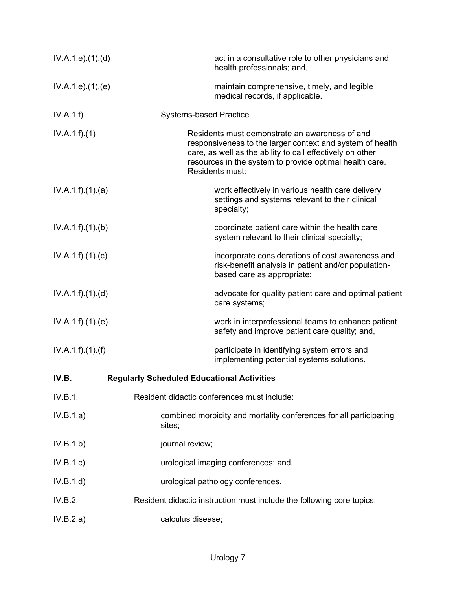| IV.A.1.e. (1). (d) | act in a consultative role to other physicians and<br>health professionals; and,                                                                                                                                                                       |
|--------------------|--------------------------------------------------------------------------------------------------------------------------------------------------------------------------------------------------------------------------------------------------------|
| IV.A.1.e. (1). (e) | maintain comprehensive, timely, and legible<br>medical records, if applicable.                                                                                                                                                                         |
| IV.A.1.f)          | <b>Systems-based Practice</b>                                                                                                                                                                                                                          |
| IV.A.1.f)(1)       | Residents must demonstrate an awareness of and<br>responsiveness to the larger context and system of health<br>care, as well as the ability to call effectively on other<br>resources in the system to provide optimal health care.<br>Residents must: |
| IV.A.1.f).(1).(a)  | work effectively in various health care delivery<br>settings and systems relevant to their clinical<br>specialty;                                                                                                                                      |
| IV.A.1.f)(1)(b)    | coordinate patient care within the health care<br>system relevant to their clinical specialty;                                                                                                                                                         |
| IV.A.1.f)(1)(c)    | incorporate considerations of cost awareness and<br>risk-benefit analysis in patient and/or population-<br>based care as appropriate;                                                                                                                  |
| IV.A.1.f)(1)(d)    | advocate for quality patient care and optimal patient<br>care systems;                                                                                                                                                                                 |
| IV.A.1.f)(1)(e)    | work in interprofessional teams to enhance patient<br>safety and improve patient care quality; and,                                                                                                                                                    |
| IV.A.1.f)(1)(f)    | participate in identifying system errors and<br>implementing potential systems solutions.                                                                                                                                                              |
| IV.B.              | <b>Regularly Scheduled Educational Activities</b>                                                                                                                                                                                                      |
| IV.B.1.            | Resident didactic conferences must include:                                                                                                                                                                                                            |
| IV.B.1.a)          | combined morbidity and mortality conferences for all participating<br>sites;                                                                                                                                                                           |
| IV.B.1.b)          | journal review;                                                                                                                                                                                                                                        |
| IV.B.1.c)          | urological imaging conferences; and,                                                                                                                                                                                                                   |
| IV.B.1.d)          | urological pathology conferences.                                                                                                                                                                                                                      |
| IV.B.2.            | Resident didactic instruction must include the following core topics:                                                                                                                                                                                  |
| IV.B.2.a)          | calculus disease;                                                                                                                                                                                                                                      |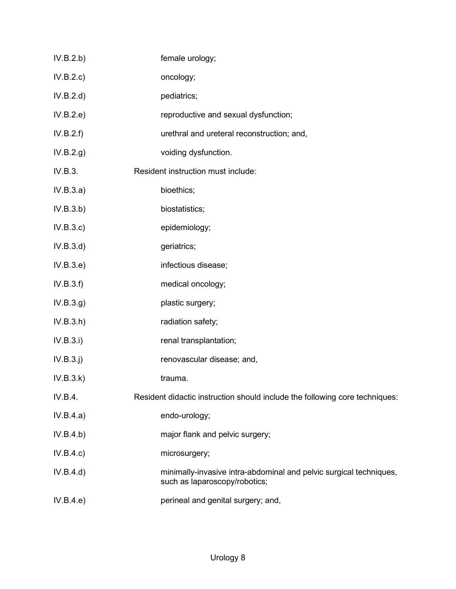| IV.B.2.b) | female urology;                                                                                     |
|-----------|-----------------------------------------------------------------------------------------------------|
| IV.B.2.c) | oncology;                                                                                           |
| IV.B.2.d) | pediatrics;                                                                                         |
| IV.B.2.e) | reproductive and sexual dysfunction;                                                                |
| IV.B.2.f) | urethral and ureteral reconstruction; and,                                                          |
| IV.B.2.g) | voiding dysfunction.                                                                                |
| IV.B.3.   | Resident instruction must include:                                                                  |
| IV.B.3.a) | bioethics;                                                                                          |
| IV.B.3.b) | biostatistics;                                                                                      |
| IV.B.3.c  | epidemiology;                                                                                       |
| IV.B.3.d) | geriatrics;                                                                                         |
| IV.B.3.e) | infectious disease;                                                                                 |
| IV.B.3.f) | medical oncology;                                                                                   |
| IV.B.3.g) | plastic surgery;                                                                                    |
| IV.B.3.h) | radiation safety;                                                                                   |
| IV.B.3.i) | renal transplantation;                                                                              |
| IV.B.3.j) | renovascular disease; and,                                                                          |
| IV.B.3.k) | trauma.                                                                                             |
| IV.B.4.   | Resident didactic instruction should include the following core techniques:                         |
| IV.B.4.a) | endo-urology;                                                                                       |
| IV.B.4.b) | major flank and pelvic surgery;                                                                     |
| IV.B.4.c) | microsurgery;                                                                                       |
| IV.B.4.d) | minimally-invasive intra-abdominal and pelvic surgical techniques,<br>such as laparoscopy/robotics; |
| IV.B.4.e) | perineal and genital surgery; and,                                                                  |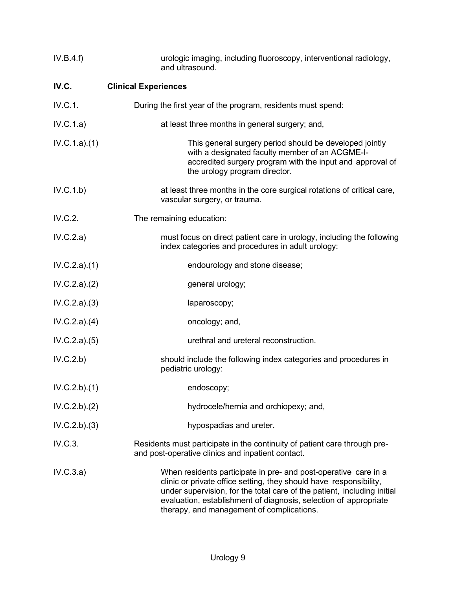| IV.B.4.f)    | urologic imaging, including fluoroscopy, interventional radiology,<br>and ultrasound.                                                                                                                                                                                                                                             |
|--------------|-----------------------------------------------------------------------------------------------------------------------------------------------------------------------------------------------------------------------------------------------------------------------------------------------------------------------------------|
| IV.C.        | <b>Clinical Experiences</b>                                                                                                                                                                                                                                                                                                       |
| IV.C.1.      | During the first year of the program, residents must spend:                                                                                                                                                                                                                                                                       |
| IV.C.1.a)    | at least three months in general surgery; and,                                                                                                                                                                                                                                                                                    |
| IV.C.1.a)(1) | This general surgery period should be developed jointly<br>with a designated faculty member of an ACGME-I-<br>accredited surgery program with the input and approval of<br>the urology program director.                                                                                                                          |
| IV.C.1.b)    | at least three months in the core surgical rotations of critical care,<br>vascular surgery, or trauma.                                                                                                                                                                                                                            |
| IV.C.2.      | The remaining education:                                                                                                                                                                                                                                                                                                          |
| IV.C.2.a)    | must focus on direct patient care in urology, including the following<br>index categories and procedures in adult urology:                                                                                                                                                                                                        |
| IV.C.2.a)(1) | endourology and stone disease;                                                                                                                                                                                                                                                                                                    |
| IV.C.2.a)(2) | general urology;                                                                                                                                                                                                                                                                                                                  |
| IV.C.2.a)(3) | laparoscopy;                                                                                                                                                                                                                                                                                                                      |
| IV.C.2.a)(4) | oncology; and,                                                                                                                                                                                                                                                                                                                    |
| IV.C.2.a)(5) | urethral and ureteral reconstruction.                                                                                                                                                                                                                                                                                             |
| IV.C.2.b)    | should include the following index categories and procedures in<br>pediatric urology:                                                                                                                                                                                                                                             |
| IV.C.2.b)(1) | endoscopy;                                                                                                                                                                                                                                                                                                                        |
| IV.C.2.b)(2) | hydrocele/hernia and orchiopexy; and,                                                                                                                                                                                                                                                                                             |
| IV.C.2.b)(3) | hypospadias and ureter.                                                                                                                                                                                                                                                                                                           |
| IV.C.3.      | Residents must participate in the continuity of patient care through pre-<br>and post-operative clinics and inpatient contact.                                                                                                                                                                                                    |
| IV.C.3.a)    | When residents participate in pre- and post-operative care in a<br>clinic or private office setting, they should have responsibility,<br>under supervision, for the total care of the patient, including initial<br>evaluation, establishment of diagnosis, selection of appropriate<br>therapy, and management of complications. |